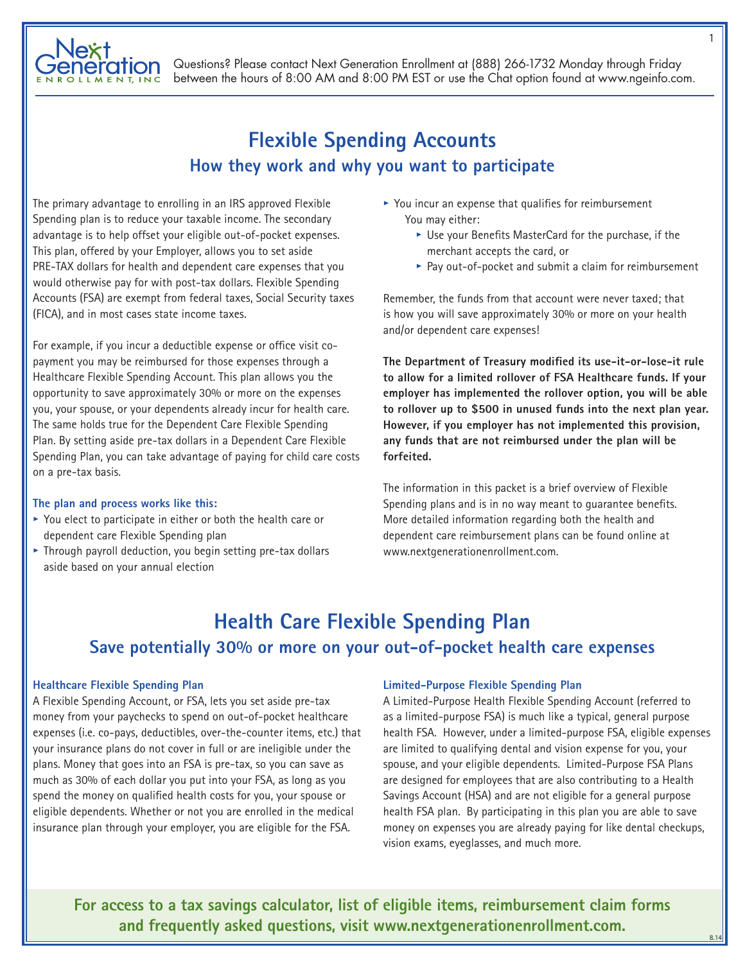

# **Flexible Spending Accounts How they work and why you want to participate**

The primary advantage to enrolling in an IRS approved Flexible Spending plan is to reduce your taxable income. The secondary advantage is to help offset your eligible out-of-pocket expenses. This plan, offered by your Employer, allows you to set aside PRE-TAX dollars for health and dependent care expenses that you would otherwise pay for with post-tax dollars. Flexible Spending Accounts (FSA) are exempt from federal taxes, Social Security taxes (FICA), and in most cases state income taxes.

For example, if you incur a deductible expense or office visit copayment you may be reimbursed for those expenses through a Healthcare Flexible Spending Account. This plan allows you the opportunity to save approximately 30% or more on the expenses you, your spouse, or your dependents already incur for health care. The same holds true for the Dependent Care Flexible Spending Plan. By setting aside pre-tax dollars in a Dependent Care Flexible Spending Plan, you can take advantage of paying for child care costs on a pre-tax basis.

#### **The plan and process works like this:**

- **•** You elect to participate in either or both the health care or dependent care Flexible Spending plan
- **•** Through payroll deduction, you begin setting pre-tax dollars aside based on your annual election
- **•** You incur an expense that qualifies for reimbursement You may either:
	- **•** Use your Benefits MasterCard for the purchase, if the merchant accepts the card, or
	- **•** Pay out-of-pocket and submit a claim for reimbursement

Remember, the funds from that account were never taxed; that is how you will save approximately 30% or more on your health and/or dependent care expenses!

**The Department of Treasury modified its use-it-or-lose-it rule to allow for a limited rollover of FSA Healthcare funds. If your employer has implemented the rollover option, you will be able to rollover up to \$500 in unused funds into the next plan year. However, if you employer has not implemented this provision, any funds that are not reimbursed under the plan will be forfeited.**

The information in this packet is a brief overview of Flexible Spending plans and is in no way meant to guarantee benefits. More detailed information regarding both the health and dependent care reimbursement plans can be found online at www.nextgenerationenrollment.com.

## **Health Care Flexible Spending Plan Save potentially 30% or more on your out-of-pocket health care expenses**

#### **Healthcare Flexible Spending Plan**

A Flexible Spending Account, or FSA, lets you set aside pre-tax money from your paychecks to spend on out-of-pocket healthcare expenses (i.e. co-pays, deductibles, over-the-counter items, etc.) that your insurance plans do not cover in full or are ineligible under the plans. Money that goes into an FSA is pre-tax, so you can save as much as 30% of each dollar you put into your FSA, as long as you spend the money on qualified health costs for you, your spouse or eligible dependents. Whether or not you are enrolled in the medical insurance plan through your employer, you are eligible for the FSA.

#### **Limited-Purpose Flexible Spending Plan**

A Limited-Purpose Health Flexible Spending Account (referred to as a limited-purpose FSA) is much like a typical, general purpose health FSA. However, under a limited-purpose FSA, eligible expenses are limited to qualifying dental and vision expense for you, your spouse, and your eligible dependents. Limited-Purpose FSA Plans are designed for employees that are also contributing to a Health Savings Account (HSA) and are not eligible for a general purpose health FSA plan. By participating in this plan you are able to save money on expenses you are already paying for like dental checkups, vision exams, eyeglasses, and much more.

**For access to a tax savings calculator, list of eligible items, reimbursement claim forms and frequently asked questions, visit www.nextgenerationenrollment.com.**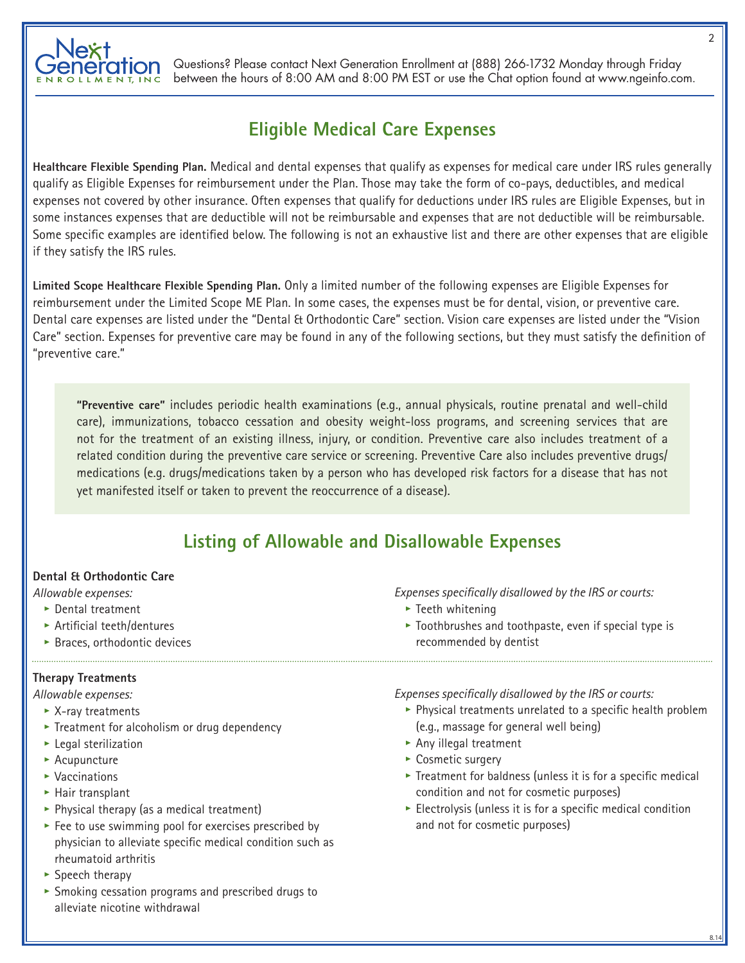

## **Eligible Medical Care Expenses**

**Healthcare Flexible Spending Plan.** Medical and dental expenses that qualify as expenses for medical care under IRS rules generally qualify as Eligible Expenses for reimbursement under the Plan. Those may take the form of co-pays, deductibles, and medical expenses not covered by other insurance. Often expenses that qualify for deductions under IRS rules are Eligible Expenses, but in some instances expenses that are deductible will not be reimbursable and expenses that are not deductible will be reimbursable. Some specific examples are identified below. The following is not an exhaustive list and there are other expenses that are eligible if they satisfy the IRS rules.

**Limited Scope Healthcare Flexible Spending Plan.** Only a limited number of the following expenses are Eligible Expenses for reimbursement under the Limited Scope ME Plan. In some cases, the expenses must be for dental, vision, or preventive care. Dental care expenses are listed under the "Dental & Orthodontic Care" section. Vision care expenses are listed under the "Vision Care" section. Expenses for preventive care may be found in any of the following sections, but they must satisfy the definition of "preventive care."

**"Preventive care"** includes periodic health examinations (e.g., annual physicals, routine prenatal and well-child care), immunizations, tobacco cessation and obesity weight-loss programs, and screening services that are not for the treatment of an existing illness, injury, or condition. Preventive care also includes treatment of a related condition during the preventive care service or screening. Preventive Care also includes preventive drugs/ medications (e.g. drugs/medications taken by a person who has developed risk factors for a disease that has not yet manifested itself or taken to prevent the reoccurrence of a disease).

## **Listing of Allowable and Disallowable Expenses**

## **Dental & Orthodontic Care**

*Allowable expenses:*

- **•** Dental treatment
- **•** Artificial teeth/dentures
- **•** Braces, orthodontic devices

## **Therapy Treatments**

*Allowable expenses:*

- **•** X-ray treatments
- **•** Treatment for alcoholism or drug dependency
- **•** Legal sterilization
- **•** Acupuncture
- **•** Vaccinations
- **•** Hair transplant
- **•** Physical therapy (as a medical treatment)
- **•** Fee to use swimming pool for exercises prescribed by physician to alleviate specific medical condition such as rheumatoid arthritis
- **•** Speech therapy
- **•** Smoking cessation programs and prescribed drugs to alleviate nicotine withdrawal

*Expenses specifically disallowed by the IRS or courts:*

- **•** Teeth whitening
- **•** Toothbrushes and toothpaste, even if special type is recommended by dentist

*Expenses specifically disallowed by the IRS or courts:*

- **•** Physical treatments unrelated to a specific health problem (e.g., massage for general well being)
- **•** Any illegal treatment
- **•** Cosmetic surgery
- **•** Treatment for baldness (unless it is for a specific medical condition and not for cosmetic purposes)
- **•** Electrolysis (unless it is for a specific medical condition and not for cosmetic purposes)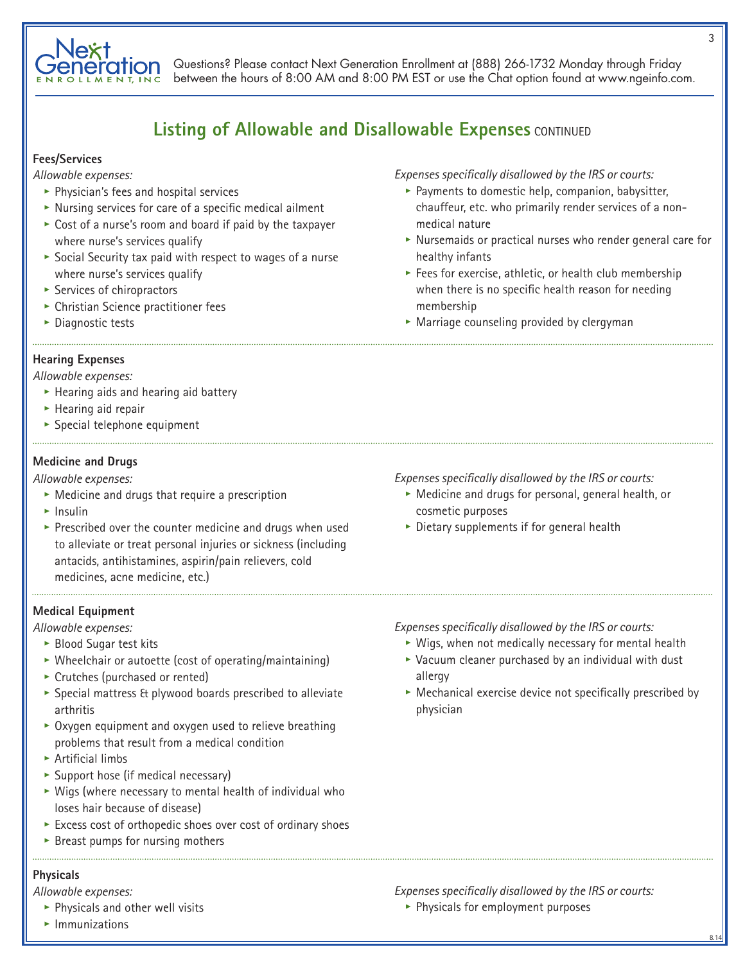

## **Listing of Allowable and Disallowable Expenses CONTINUED**

## **Fees/Services**

*Allowable expenses:*

- **•** Physician's fees and hospital services
- **•** Nursing services for care of a specific medical ailment
- **•** Cost of a nurse's room and board if paid by the taxpayer where nurse's services qualify
- **•** Social Security tax paid with respect to wages of a nurse where nurse's services qualify
- **•** Services of chiropractors
- **•** Christian Science practitioner fees
- **•** Diagnostic tests

## **Hearing Expenses**

#### *Allowable expenses:*

- **•** Hearing aids and hearing aid battery
- **•** Hearing aid repair
- **•** Special telephone equipment

## **Medicine and Drugs**

*Allowable expenses:*

- **•** Medicine and drugs that require a prescription
- **•** Insulin
- **•** Prescribed over the counter medicine and drugs when used to alleviate or treat personal injuries or sickness (including antacids, antihistamines, aspirin/pain relievers, cold medicines, acne medicine, etc.)

## **Medical Equipment**

*Allowable expenses:*

- **•** Blood Sugar test kits
- **•** Wheelchair or autoette (cost of operating/maintaining)
- **•** Crutches (purchased or rented)
- **•** Special mattress & plywood boards prescribed to alleviate arthritis
- **•** Oxygen equipment and oxygen used to relieve breathing problems that result from a medical condition
- **•** Artificial limbs
- **•** Support hose (if medical necessary)
- **•** Wigs (where necessary to mental health of individual who loses hair because of disease)
- **•** Excess cost of orthopedic shoes over cost of ordinary shoes
- **•** Breast pumps for nursing mothers

## **Physicals**

*Allowable expenses:*

**•** Physicals and other well visits

- *Expenses specifically disallowed by the IRS or courts:*
	- **•** Payments to domestic help, companion, babysitter, chauffeur, etc. who primarily render services of a nonmedical nature
	- **•** Nursemaids or practical nurses who render general care for healthy infants
	- **•** Fees for exercise, athletic, or health club membership when there is no specific health reason for needing membership
	- **•** Marriage counseling provided by clergyman

## *Expenses specifically disallowed by the IRS or courts:*

- **•** Medicine and drugs for personal, general health, or cosmetic purposes
- **•** Dietary supplements if for general health
- *Expenses specifically disallowed by the IRS or courts:*
	- **•** Wigs, when not medically necessary for mental health **•** Vacuum cleaner purchased by an individual with dust allergy
	- **•** Mechanical exercise device not specifically prescribed by physician

- *Expenses specifically disallowed by the IRS or courts:*
	- **•** Physicals for employment purposes

3

8.14

**•** Immunizations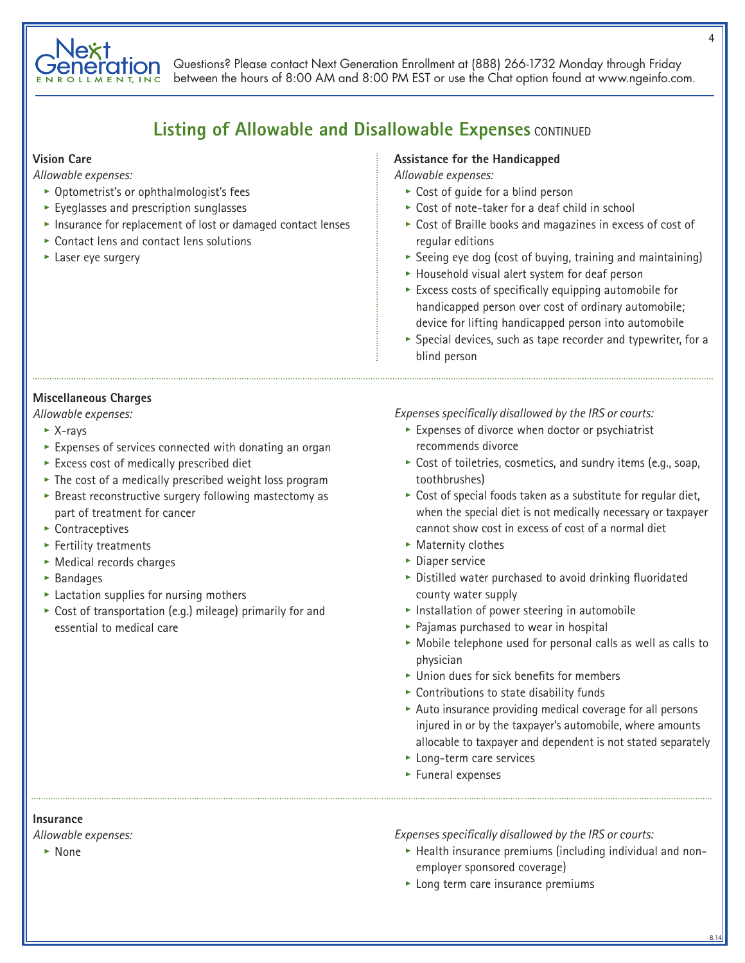

## **Listing of Allowable and Disallowable Expenses CONTINUED**

#### **Vision Care**

*Allowable expenses:*

- **•** Optometrist's or ophthalmologist's fees
- **•** Eyeglasses and prescription sunglasses
- **•** Insurance for replacement of lost or damaged contact lenses
- **•** Contact lens and contact lens solutions
- **•** Laser eye surgery

## **Assistance for the Handicapped**

*Allowable expenses:*

- **•** Cost of guide for a blind person
- **•** Cost of note-taker for a deaf child in school
- **•** Cost of Braille books and magazines in excess of cost of regular editions
- **•** Seeing eye dog (cost of buying, training and maintaining)
- **•** Household visual alert system for deaf person
- **•** Excess costs of specifically equipping automobile for handicapped person over cost of ordinary automobile; device for lifting handicapped person into automobile
- **•** Special devices, such as tape recorder and typewriter, for a blind person

## **Miscellaneous Charges**

#### *Allowable expenses:*

- **•** X-rays
- **•** Expenses of services connected with donating an organ
- **•** Excess cost of medically prescribed diet
- **•** The cost of a medically prescribed weight loss program
- **•** Breast reconstructive surgery following mastectomy as part of treatment for cancer
- **•** Contraceptives
- **•** Fertility treatments
- **•** Medical records charges
- **•** Bandages
- **•** Lactation supplies for nursing mothers
- **•** Cost of transportation (e.g.) mileage) primarily for and essential to medical care

*Expenses specifically disallowed by the IRS or courts:*

- **•** Expenses of divorce when doctor or psychiatrist recommends divorce
- **•** Cost of toiletries, cosmetics, and sundry items (e.g., soap, toothbrushes)
- **•** Cost of special foods taken as a substitute for regular diet, when the special diet is not medically necessary or taxpayer cannot show cost in excess of cost of a normal diet
- **•** Maternity clothes
- **•** Diaper service
- **•** Distilled water purchased to avoid drinking fluoridated county water supply
- **•** Installation of power steering in automobile
- **•** Pajamas purchased to wear in hospital
- **•** Mobile telephone used for personal calls as well as calls to physician
- **•** Union dues for sick benefits for members
- **•** Contributions to state disability funds
- **•** Auto insurance providing medical coverage for all persons injured in or by the taxpayer's automobile, where amounts allocable to taxpayer and dependent is not stated separately
- **•** Long-term care services
- **•** Funeral expenses

**Insurance**

*Allowable expenses:*

**•** None

*Expenses specifically disallowed by the IRS or courts:*

**•** Health insurance premiums (including individual and nonemployer sponsored coverage)

8.14

**•** Long term care insurance premiums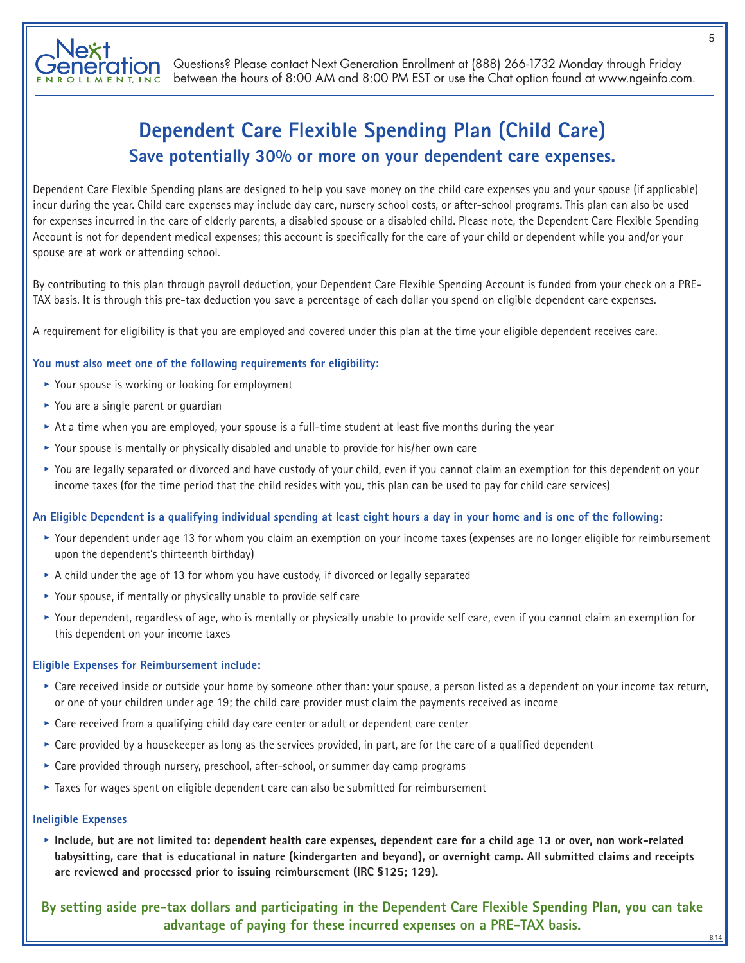# **Dependent Care Flexible Spending Plan (Child Care) Save potentially 30% or more on your dependent care expenses.**

Dependent Care Flexible Spending plans are designed to help you save money on the child care expenses you and your spouse (if applicable) incur during the year. Child care expenses may include day care, nursery school costs, or after-school programs. This plan can also be used for expenses incurred in the care of elderly parents, a disabled spouse or a disabled child. Please note, the Dependent Care Flexible Spending Account is not for dependent medical expenses; this account is specifically for the care of your child or dependent while you and/or your spouse are at work or attending school.

By contributing to this plan through payroll deduction, your Dependent Care Flexible Spending Account is funded from your check on a PRE-TAX basis. It is through this pre-tax deduction you save a percentage of each dollar you spend on eligible dependent care expenses.

A requirement for eligibility is that you are employed and covered under this plan at the time your eligible dependent receives care.

## **You must also meet one of the following requirements for eligibility:**

- **•** Your spouse is working or looking for employment
- **•** You are a single parent or guardian
- **•** At a time when you are employed, your spouse is a full-time student at least five months during the year
- **•** Your spouse is mentally or physically disabled and unable to provide for his/her own care
- **•** You are legally separated or divorced and have custody of your child, even if you cannot claim an exemption for this dependent on your income taxes (for the time period that the child resides with you, this plan can be used to pay for child care services)

## **An Eligible Dependent is a qualifying individual spending at least eight hours a day in your home and is one of the following:**

- **•** Your dependent under age 13 for whom you claim an exemption on your income taxes (expenses are no longer eligible for reimbursement upon the dependent's thirteenth birthday)
- **•** A child under the age of 13 for whom you have custody, if divorced or legally separated
- **•** Your spouse, if mentally or physically unable to provide self care
- **•** Your dependent, regardless of age, who is mentally or physically unable to provide self care, even if you cannot claim an exemption for this dependent on your income taxes

## **Eligible Expenses for Reimbursement include:**

- **•** Care received inside or outside your home by someone other than: your spouse, a person listed as a dependent on your income tax return, or one of your children under age 19; the child care provider must claim the payments received as income
- **•** Care received from a qualifying child day care center or adult or dependent care center
- **•** Care provided by a housekeeper as long as the services provided, in part, are for the care of a qualified dependent
- **•** Care provided through nursery, preschool, after-school, or summer day camp programs
- **•** Taxes for wages spent on eligible dependent care can also be submitted for reimbursement

## **Ineligible Expenses**

**• Include, but are not limited to: dependent health care expenses, dependent care for a child age 13 or over, non work-related babysitting, care that is educational in nature (kindergarten and beyond), or overnight camp. All submitted claims and receipts are reviewed and processed prior to issuing reimbursement (IRC §125; 129).**

**By setting aside pre-tax dollars and participating in the Dependent Care Flexible Spending Plan, you can take advantage of paying for these incurred expenses on a PRE-TAX basis.**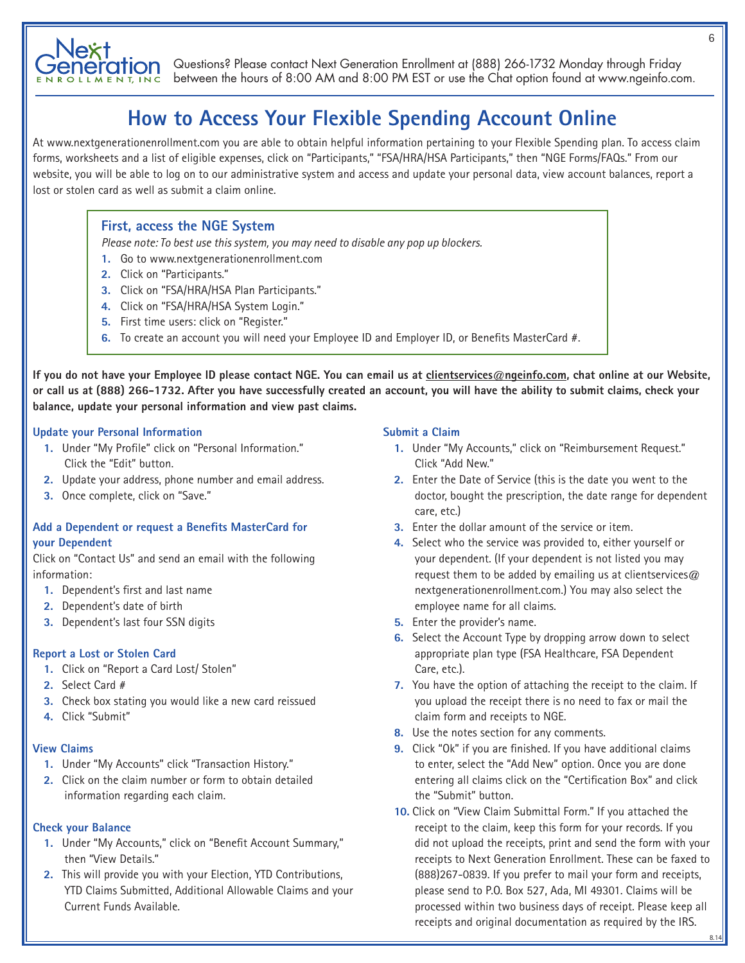

# **How to Access Your Flexible Spending Account Online**

At www.nextgenerationenrollment.com you are able to obtain helpful information pertaining to your Flexible Spending plan. To access claim forms, worksheets and a list of eligible expenses, click on "Participants," "FSA/HRA/HSA Participants," then "NGE Forms/FAQs." From our website, you will be able to log on to our administrative system and access and update your personal data, view account balances, report a lost or stolen card as well as submit a claim online.

## **First, access the NGE System**

*Please note: To best use this system, you may need to disable any pop up blockers.*

- **1.** Go to www.nextgenerationenrollment.com
- **2.** Click on "Participants."
- **3.** Click on "FSA/HRA/HSA Plan Participants."
- **4.** Click on "FSA/HRA/HSA System Login."
- **5.** First time users: click on "Register."
- **6.** To create an account you will need your Employee ID and Employer ID, or Benefits MasterCard #.

**If you do not have your Employee ID please contact NGE. You can email us at clientservices@ngeinfo.com, chat online at our Website, or call us at (888) 266-1732. After you have successfully created an account, you will have the ability to submit claims, check your balance, update your personal information and view past claims.**

## **Update your Personal Information**

- **1.** Under "My Profile" click on "Personal Information." Click the "Edit" button.
- **2.** Update your address, phone number and email address.
- **3.** Once complete, click on "Save."

## **Add a Dependent or request a Benefits MasterCard for your Dependent**

Click on "Contact Us" and send an email with the following information:

- **1.** Dependent's first and last name
- **2.** Dependent's date of birth
- **3.** Dependent's last four SSN digits

## **Report a Lost or Stolen Card**

- **1.** Click on "Report a Card Lost/ Stolen"
- **2.** Select Card #
- **3.** Check box stating you would like a new card reissued
- **4.** Click "Submit"

#### **View Claims**

- **1.** Under "My Accounts" click "Transaction History."
- **2.** Click on the claim number or form to obtain detailed information regarding each claim.

## **Check your Balance**

- **1.** Under "My Accounts," click on "Benefit Account Summary," then "View Details."
- **2.** This will provide you with your Election, YTD Contributions, YTD Claims Submitted, Additional Allowable Claims and your Current Funds Available.

## **Submit a Claim**

- **1.** Under "My Accounts," click on "Reimbursement Request." Click "Add New."
- **2.** Enter the Date of Service (this is the date you went to the doctor, bought the prescription, the date range for dependent care, etc.)
- **3.** Enter the dollar amount of the service or item.
- **4.** Select who the service was provided to, either yourself or your dependent. (If your dependent is not listed you may request them to be added by emailing us at clientservices $@$ nextgenerationenrollment.com.) You may also select the employee name for all claims.
- **5.** Enter the provider's name.
- **6.** Select the Account Type by dropping arrow down to select appropriate plan type (FSA Healthcare, FSA Dependent Care, etc.).
- **7.** You have the option of attaching the receipt to the claim. If you upload the receipt there is no need to fax or mail the claim form and receipts to NGE.
- **8.** Use the notes section for any comments.
- **9.** Click "Ok" if you are finished. If you have additional claims to enter, select the "Add New" option. Once you are done entering all claims click on the "Certification Box" and click the "Submit" button.
- **10.** Click on "View Claim Submittal Form." If you attached the receipt to the claim, keep this form for your records. If you did not upload the receipts, print and send the form with your receipts to Next Generation Enrollment. These can be faxed to (888)267-0839. If you prefer to mail your form and receipts, please send to P.O. Box 527, Ada, MI 49301. Claims will be processed within two business days of receipt. Please keep all receipts and original documentation as required by the IRS.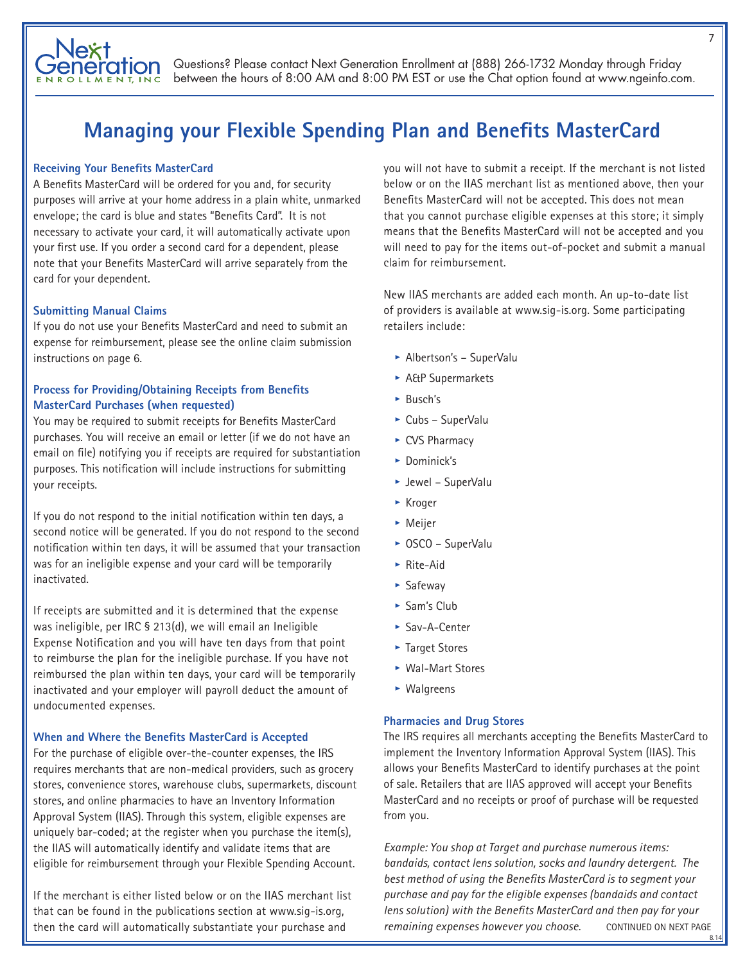

# **Managing your Flexible Spending Plan and Benefits MasterCard**

## **Receiving Your Benefits MasterCard**

A Benefits MasterCard will be ordered for you and, for security purposes will arrive at your home address in a plain white, unmarked envelope; the card is blue and states "Benefits Card". It is not necessary to activate your card, it will automatically activate upon your first use. If you order a second card for a dependent, please note that your Benefits MasterCard will arrive separately from the card for your dependent.

## **Submitting Manual Claims**

If you do not use your Benefits MasterCard and need to submit an expense for reimbursement, please see the online claim submission instructions on page 6.

## **Process for Providing/Obtaining Receipts from Benefits MasterCard Purchases (when requested)**

You may be required to submit receipts for Benefits MasterCard purchases. You will receive an email or letter (if we do not have an email on file) notifying you if receipts are required for substantiation purposes. This notification will include instructions for submitting your receipts.

If you do not respond to the initial notification within ten days, a second notice will be generated. If you do not respond to the second notification within ten days, it will be assumed that your transaction was for an ineligible expense and your card will be temporarily inactivated.

If receipts are submitted and it is determined that the expense was ineligible, per IRC § 213(d), we will email an Ineligible Expense Notification and you will have ten days from that point to reimburse the plan for the ineligible purchase. If you have not reimbursed the plan within ten days, your card will be temporarily inactivated and your employer will payroll deduct the amount of undocumented expenses.

#### **When and Where the Benefits MasterCard is Accepted**

For the purchase of eligible over-the-counter expenses, the IRS requires merchants that are non-medical providers, such as grocery stores, convenience stores, warehouse clubs, supermarkets, discount stores, and online pharmacies to have an Inventory Information Approval System (IIAS). Through this system, eligible expenses are uniquely bar-coded; at the register when you purchase the item(s), the IIAS will automatically identify and validate items that are eligible for reimbursement through your Flexible Spending Account.

If the merchant is either listed below or on the IIAS merchant list that can be found in the publications section at www.sig-is.org, then the card will automatically substantiate your purchase and

you will not have to submit a receipt. If the merchant is not listed below or on the IIAS merchant list as mentioned above, then your Benefits MasterCard will not be accepted. This does not mean that you cannot purchase eligible expenses at this store; it simply means that the Benefits MasterCard will not be accepted and you will need to pay for the items out-of-pocket and submit a manual claim for reimbursement.

New IIAS merchants are added each month. An up-to-date list of providers is available at www.sig-is.org. Some participating retailers include:

- **•** Albertson's SuperValu
- **•** A&P Supermarkets
- **•** Busch's
- **•** Cubs SuperValu
- **•** CVS Pharmacy
- **•** Dominick's
- **•** Jewel SuperValu
- **•** Kroger
- **•** Meijer
- **•** OSCO SuperValu
- **•** Rite-Aid
- **•** Safeway
- **•** Sam's Club
- **•** Sav-A-Center
- **•** Target Stores
- **•** Wal-Mart Stores
- **•** Walgreens

## **Pharmacies and Drug Stores**

The IRS requires all merchants accepting the Benefits MasterCard to implement the Inventory Information Approval System (IIAS). This allows your Benefits MasterCard to identify purchases at the point of sale. Retailers that are IIAS approved will accept your Benefits MasterCard and no receipts or proof of purchase will be requested from you.

*Example: You shop at Target and purchase numerous items: bandaids, contact lens solution, socks and laundry detergent. The best method of using the Benefits MasterCard is to segment your purchase and pay for the eligible expenses (bandaids and contact lens solution) with the Benefits MasterCard and then pay for your*  remaining expenses however you choose. CONTINUED ON NEXT PAGE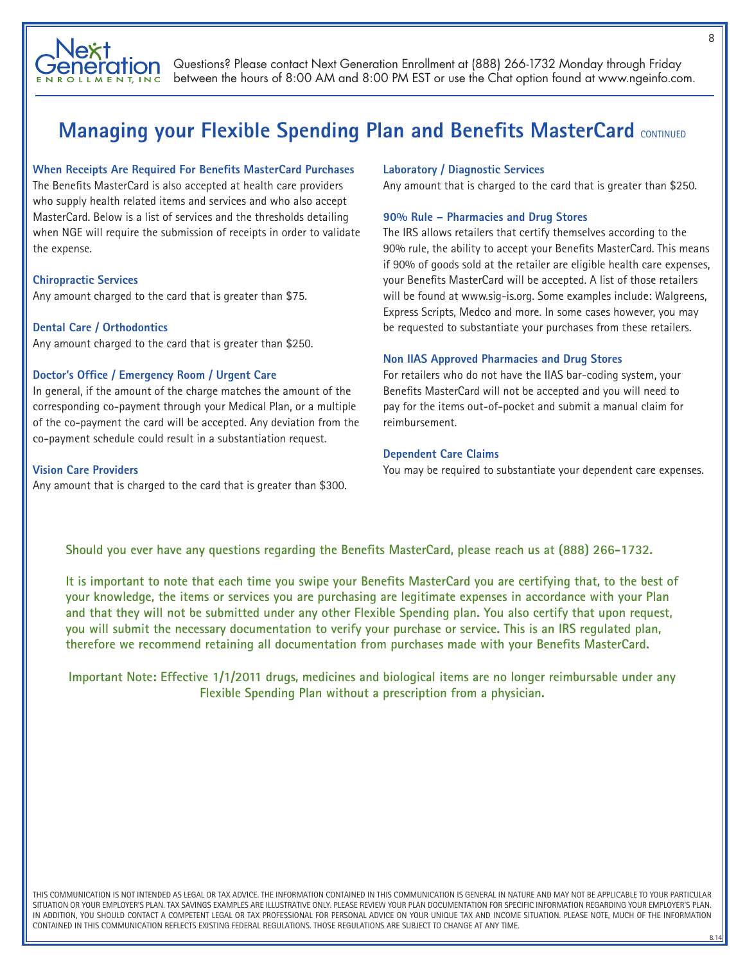

# **Managing your Flexible Spending Plan and Benefits MasterCard CONTINUED**

## **When Receipts Are Required For Benefits MasterCard Purchases**

The Benefits MasterCard is also accepted at health care providers who supply health related items and services and who also accept MasterCard. Below is a list of services and the thresholds detailing when NGE will require the submission of receipts in order to validate the expense.

## **Chiropractic Services**

Any amount charged to the card that is greater than \$75.

## **Dental Care / Orthodontics**

Any amount charged to the card that is greater than \$250.

#### **Doctor's Office / Emergency Room / Urgent Care**

In general, if the amount of the charge matches the amount of the corresponding co-payment through your Medical Plan, or a multiple of the co-payment the card will be accepted. Any deviation from the co-payment schedule could result in a substantiation request.

## **Vision Care Providers**

Any amount that is charged to the card that is greater than \$300.

#### **Laboratory / Diagnostic Services**

Any amount that is charged to the card that is greater than \$250.

## **90% Rule – Pharmacies and Drug Stores**

The IRS allows retailers that certify themselves according to the 90% rule, the ability to accept your Benefits MasterCard. This means if 90% of goods sold at the retailer are eligible health care expenses, your Benefits MasterCard will be accepted. A list of those retailers will be found at www.sig-is.org. Some examples include: Walgreens, Express Scripts, Medco and more. In some cases however, you may be requested to substantiate your purchases from these retailers.

## **Non IIAS Approved Pharmacies and Drug Stores**

For retailers who do not have the IIAS bar-coding system, your Benefits MasterCard will not be accepted and you will need to pay for the items out-of-pocket and submit a manual claim for reimbursement.

## **Dependent Care Claims**

You may be required to substantiate your dependent care expenses.

## **Should you ever have any questions regarding the Benefits MasterCard, please reach us at (888) 266-1732.**

**It is important to note that each time you swipe your Benefits MasterCard you are certifying that, to the best of your knowledge, the items or services you are purchasing are legitimate expenses in accordance with your Plan and that they will not be submitted under any other Flexible Spending plan. You also certify that upon request, you will submit the necessary documentation to verify your purchase or service. This is an IRS regulated plan, therefore we recommend retaining all documentation from purchases made with your Benefits MasterCard.**

**Important Note: Effective 1/1/2011 drugs, medicines and biological items are no longer reimbursable under any Flexible Spending Plan without a prescription from a physician.**

THIS COMMUNICATION IS NOT INTENDED AS LEGAL OR TAX ADVICE. THE INFORMATION CONTAINED IN THIS COMMUNICATION IS GENERAL IN NATURE AND MAY NOT BE APPLICABLE TO YOUR PARTICULAR SITUATION OR YOUR EMPLOYER'S PLAN. TAX SAVINGS EXAMPLES ARE ILLUSTRATIVE ONLY. PLEASE REVIEW YOUR PLAN DOCUMENTATION FOR SPECIFIC INFORMATION REGARDING YOUR EMPLOYER'S PLAN. IN ADDITION, YOU SHOULD CONTACT A COMPETENT LEGAL OR TAX PROFESSIONAL FOR PERSONAL ADVICE ON YOUR UNIQUE TAX AND INCOME SITUATION. PLEASE NOTE, MUCH OF THE INFORMATION CONTAINED IN THIS COMMUNICATION REFLECTS EXISTING FEDERAL REGULATIONS. THOSE REGULATIONS ARE SUBJECT TO CHANGE AT ANY TIME.